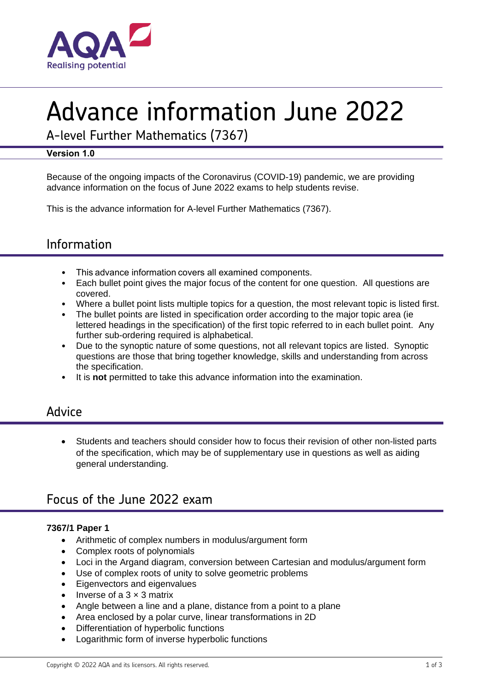

# Advance information June 2022

A-level Further Mathematics (7367)

## **Version 1.0**

Because of the ongoing impacts of the Coronavirus (COVID-19) pandemic, we are providing advance information on the focus of June 2022 exams to help students revise.

This is the advance information for A-level Further Mathematics (7367).

# Information

- This advance information covers all examined components.
- Each bullet point gives the major focus of the content for one question. All questions are covered.
- Where a bullet point lists multiple topics for a question, the most relevant topic is listed first.
- The bullet points are listed in specification order according to the major topic area (ie lettered headings in the specification) of the first topic referred to in each bullet point. Any further sub-ordering required is alphabetical.
- Due to the synoptic nature of some questions, not all relevant topics are listed. Synoptic questions are those that bring together knowledge, skills and understanding from across the specification.
- It is **not** permitted to take this advance information into the examination.

## Advice

• Students and teachers should consider how to focus their revision of other non-listed parts of the specification, which may be of supplementary use in questions as well as aiding general understanding.

# Focus of the June 2022 exam

## **7367/1 Paper 1**

- Arithmetic of complex numbers in modulus/argument form
- Complex roots of polynomials
- Loci in the Argand diagram, conversion between Cartesian and modulus/argument form
- Use of complex roots of unity to solve geometric problems
- Eigenvectors and eigenvalues
- Inverse of a  $3 \times 3$  matrix
- Angle between a line and a plane, distance from a point to a plane
- Area enclosed by a polar curve, linear transformations in 2D
- Differentiation of hyperbolic functions
- Logarithmic form of inverse hyperbolic functions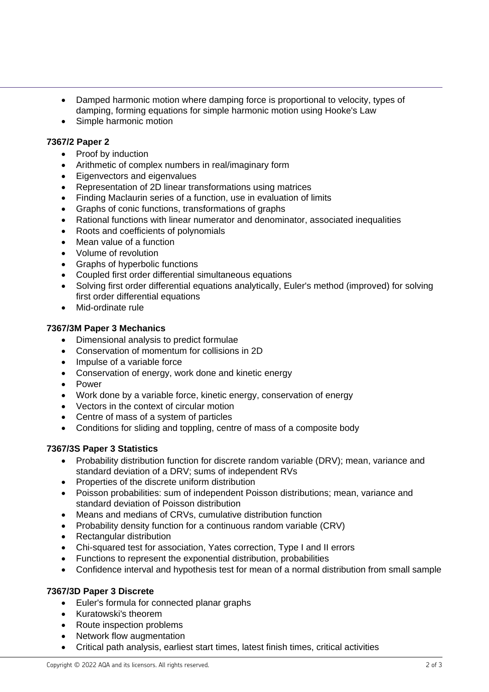- Damped harmonic motion where damping force is proportional to velocity, types of damping, forming equations for simple harmonic motion using Hooke's Law
- Simple harmonic motion

#### **7367/2 Paper 2**

- Proof by induction
- Arithmetic of complex numbers in real/imaginary form
- Eigenvectors and eigenvalues
- Representation of 2D linear transformations using matrices
- Finding Maclaurin series of a function, use in evaluation of limits
- Graphs of conic functions, transformations of graphs
- Rational functions with linear numerator and denominator, associated inequalities
- Roots and coefficients of polynomials
- Mean value of a function
- Volume of revolution
- Graphs of hyperbolic functions
- Coupled first order differential simultaneous equations
- Solving first order differential equations analytically, Euler's method (improved) for solving first order differential equations
- Mid-ordinate rule

#### **7367/3M Paper 3 Mechanics**

- Dimensional analysis to predict formulae
- Conservation of momentum for collisions in 2D
- Impulse of a variable force
- Conservation of energy, work done and kinetic energy
- Power
- Work done by a variable force, kinetic energy, conservation of energy
- Vectors in the context of circular motion
- Centre of mass of a system of particles
- Conditions for sliding and toppling, centre of mass of a composite body

## **7367/3S Paper 3 Statistics**

- Probability distribution function for discrete random variable (DRV); mean, variance and standard deviation of a DRV; sums of independent RVs
- Properties of the discrete uniform distribution
- Poisson probabilities: sum of independent Poisson distributions; mean, variance and standard deviation of Poisson distribution
- Means and medians of CRVs, cumulative distribution function
- Probability density function for a continuous random variable (CRV)
- Rectangular distribution
- Chi-squared test for association, Yates correction, Type I and II errors
- Functions to represent the exponential distribution, probabilities
- Confidence interval and hypothesis test for mean of a normal distribution from small sample

#### **7367/3D Paper 3 Discrete**

- Euler's formula for connected planar graphs
- Kuratowski's theorem
- Route inspection problems
- Network flow augmentation
- Critical path analysis, earliest start times, latest finish times, critical activities